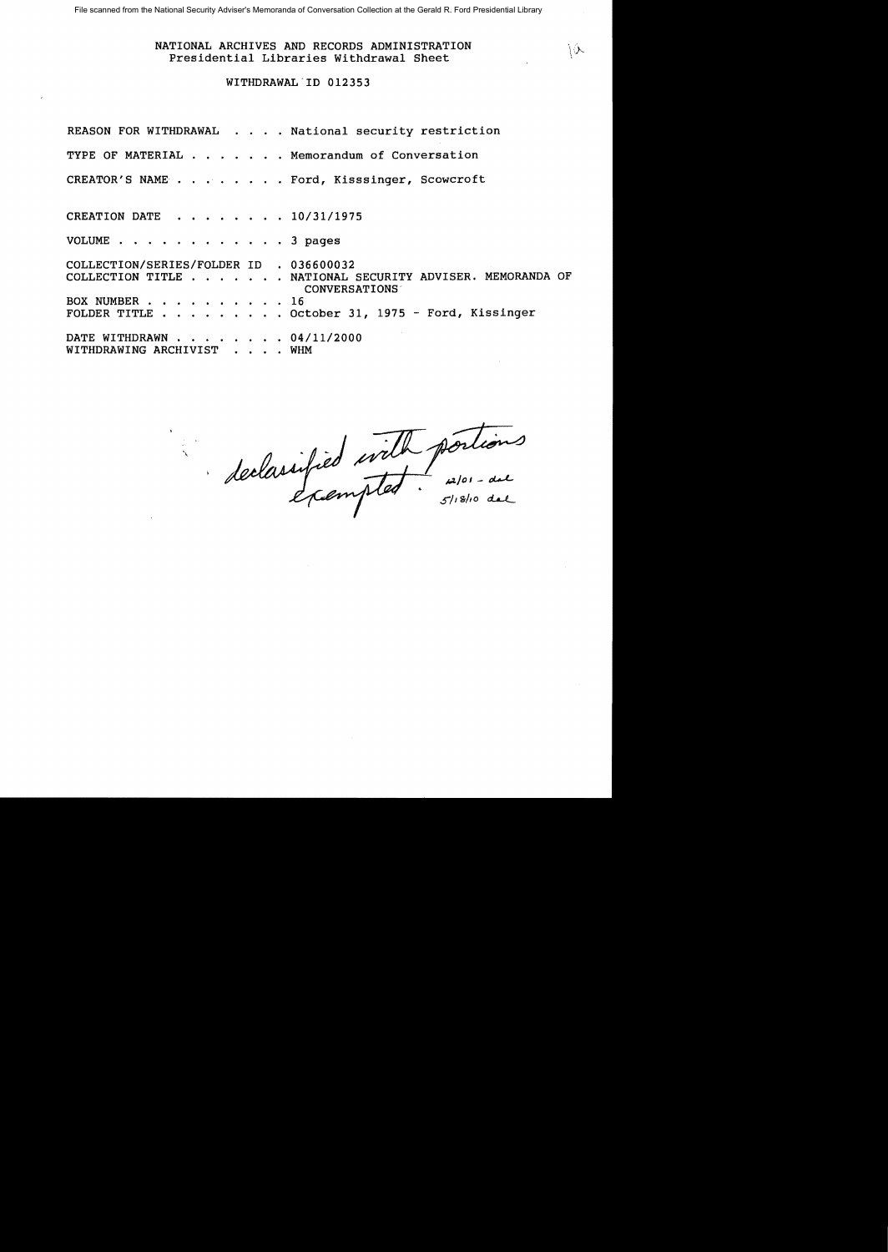## NATIONAL ARCHIVES AND RECORDS ADMINISTRATION Presidential Libraries Withdrawal Sheet

 $\mathcal{N}$ 

WITHDRAWAL"ID 012353

REASON FOR WITHDRAWAL . . . . National security restriction TYPE OF MATERIAL . . . . . . Memorandum of Conversation CREATOR'S NAME . . . . . . . . Ford, Kisssinger, Scowcroft CREATION DATE . . . . . . . 10/31/1975 VOLUME  $\cdots$   $\cdots$   $\cdots$   $\cdots$   $\cdots$   $\cdots$  3 pages COLLECTION/SERIES/FOLDER ID . 036600032 COLLECTION TITLE . . . . . . NATIONAL SECURITY ADVISER. MEMORANDA OF BOX NUMBER . . FOLDER TITLE . . . . 16 . October 31, 1975 - Ford, Kissinger CONVERSATIONS DATE WITHDRAWN . . . . . . . 04/11/2000 WITHDRAWING ARCHIVIST . . . . WHM

 $12/01 - d$ al 5/18/10 dal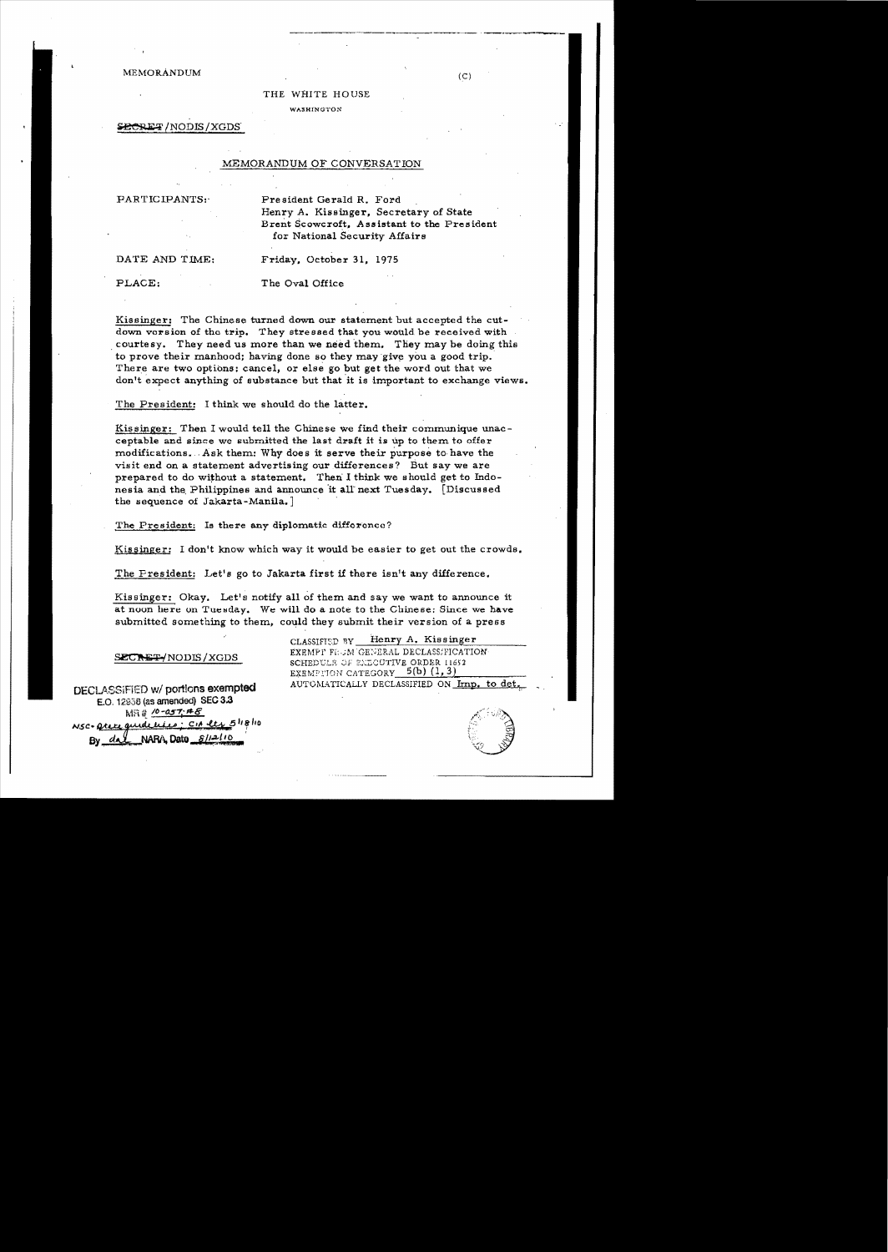#### MEMORANDUM

#### THE WHITE HOUSE

WASHINGTON

### **ECRET/NODIS/XGDS**

#### MEMORANDUM OF CONVERSATION

PARTICIPANTS:

President Gerald R. Ford Henry A. Kissinger, Secretary of State Brent Scowcroft, Assistant to the President for National Security Affairs

DATE AND TIME:

PLACE:

The Oval Office

Friday, October 31, 1975

Kissinger: The Chinese turned down our statement but accepted the cutdown version of the trip. They stressed that you would be received with courtesy. They need us more than we need them. They may be doing this to prove their manhood; having done so they may give you a good trip. There are two options; cancel, or else go but get the word out that we don't expect anything of substance but that it is important to exchange views.

The President: I think we should do the latter.

Kissinger: Then I would tell the Chinese we find their communique unacceptable and since we submitted the last draft it is up to them to offer modifications. Ask them: Why does it serve their purpose to have the visit end on a statement advertising our differences? But say we are prepared to do without a statement. Then I think we should get to Indonesia and the Philippines and announce it all next Tuesday. [Discussed the sequence of Jakarta-Manila.]

The President: Is there any diplomatic difference?

Kissinger: I don't know which way it would be easier to get out the crowds.

The President: Let's go to Jakarta first if there isn't any difference.

Kissinger: Okay. Let's notify all of them and say we want to announce it at noon here on Tuesday. We will do a note to the Chinese: Since we have submitted something to them, could they submit their version of a press

#### SECRET NODIS / XGDS

DECLASSIFIED w/ portions exempted E.O. 12958 (as amended) SEC 3.3 MR # 10-057 #8 NSC-Price quideliles: CIA lts 5118/10 NARA, Dato 8/12/10  $By$   $da$ 

Henry A. Kissinger CLASSIFIED BY EXEMPT FROM GENERAL DECLASSIFICATION. SCHEDULE OF EXECUTIVE ORDER 11652 EXEMPTION CATEGORY 5(b) (1,3) AUTOMATICALLY DECLASSIFIED ON Imp. to det

 $(C)$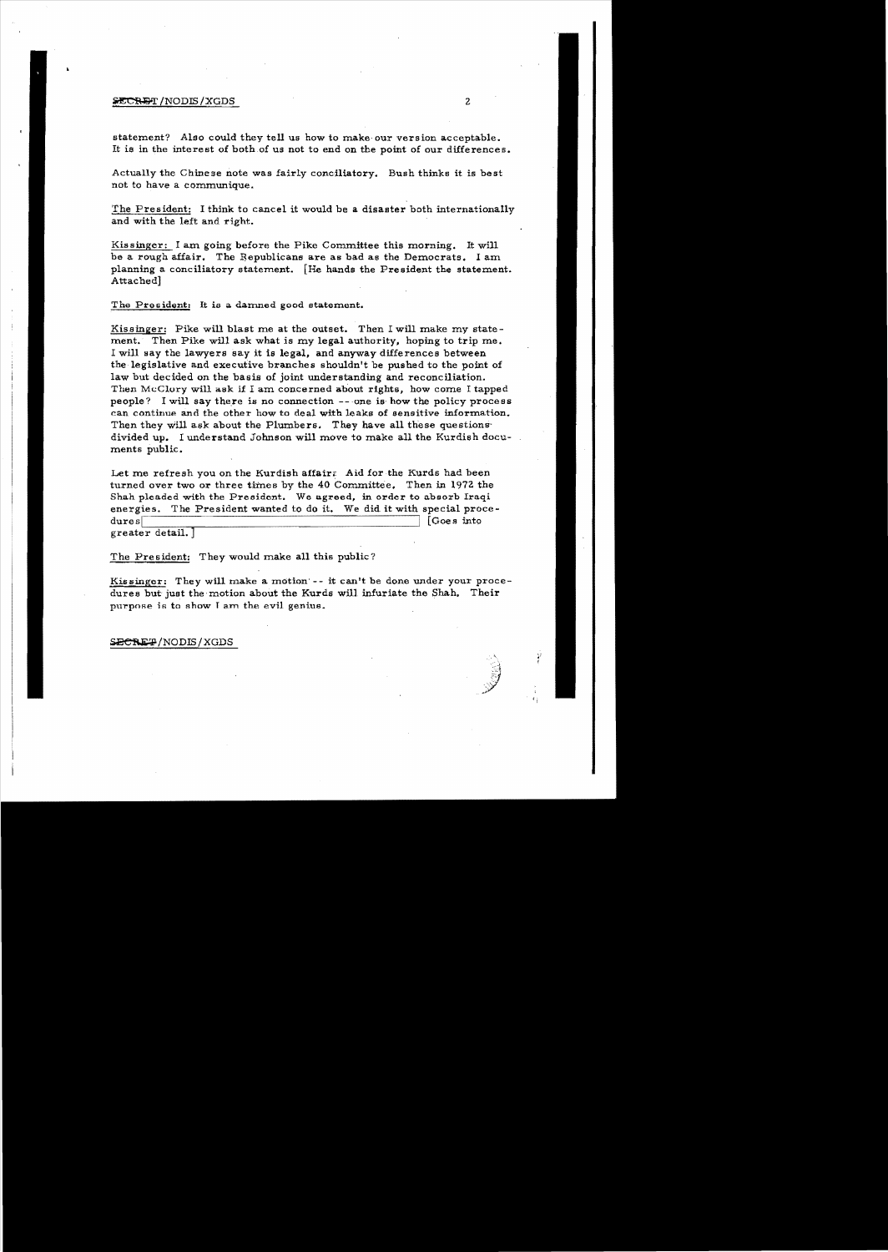#### $\frac{1}{2}$   $\frac{1}{2}$   $\frac{1}{2}$   $\frac{1}{2}$   $\frac{1}{2}$   $\frac{1}{2}$   $\frac{1}{2}$   $\frac{1}{2}$   $\frac{1}{2}$   $\frac{1}{2}$   $\frac{1}{2}$   $\frac{1}{2}$   $\frac{1}{2}$   $\frac{1}{2}$   $\frac{1}{2}$   $\frac{1}{2}$   $\frac{1}{2}$   $\frac{1}{2}$   $\frac{1}{2}$   $\frac{1}{2}$   $\frac{1}{2}$   $\frac{1}{2}$

statement? Also could they tell us how to make our version acceptable. It is in the interest of both of us not to end on the point of our differences.

Actually the Chinese note was fairly conciliatory. Bush thinks it is best not to have a communique.

The President: I think to cancel it would be a disaster both internationally and with the left and right.

Kissinger: I am going before the Pike Committee this morning. It will be a rough affair. The Republicans are as bad as the Democrats. I am planning a conciliatory statement. [He hands the President the statement. Attached]

The President: It is a damned good statement.

Kissinger: Pike will blast me at the outset. Then I will make my statement. Then Pike will ask what is my legal authority, hoping to trip me. I will say the lawyers say it is legal, and anyway differences between the legislative and executive branches shouldn't be pushed to the point of law but decided on the basis of joint understanding and reconciliation. Then McClory will ask if I am concerned about rights, how come I tapped people? I will say there is no connection -- ·one is' how the policy process can continue and the other how to deal with leaks of sensitive information. Then they will ask about the Plumbers. They have all these questionsdivided up. I understand Johnson will move to make all the Kurdish documents public.

Let me refresh you on the Kurdish affair: Aid for the Kurds had been turned over two or three times by the 40 Committee. Then in 1972 the Shah pleaded with the President. We agreed, in order to absorb Iraqi energies. The President wanted to do it. We did it with special proce-[Goes into  $dures$ greater detail.]

The President: They would make all this public?

Kissinger: They will make a motion' -- it can't be done under your procedures but just the motion about the Kurds will infuriate the Shah. Their purpose is to show I am the evil genius.

., "

\$<del>ECRET</del>/NODIS/XGDS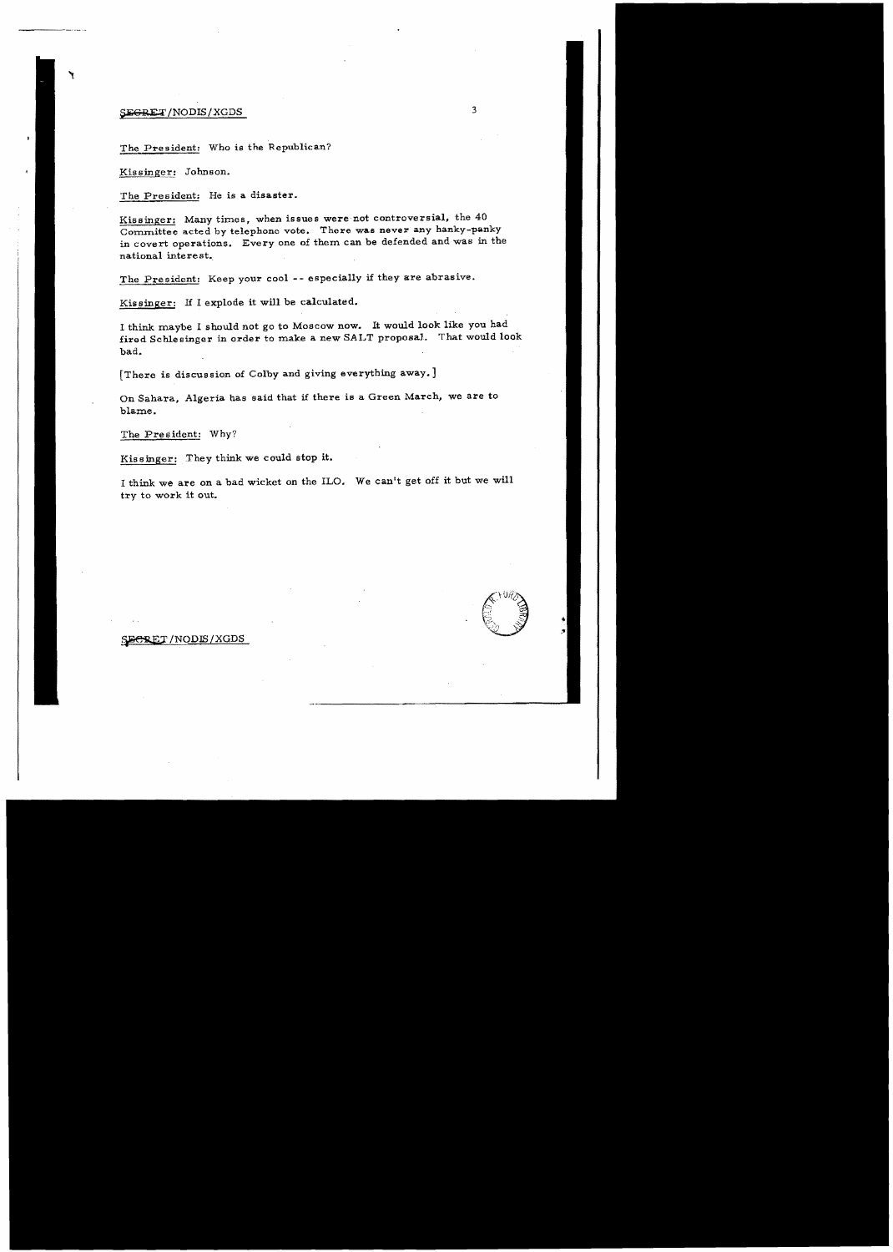### SEGRET/NODIS/XGDS

The President: Who is the Republican?

Kissinger: Johnson.

The President: He is a disaster.

Kissinger: Many times, when issues were not controversial, the 40 Committee acted by telephone vote. There was never any hanky-panky in covert operations. Everyone of them can be defended and was in the national interest.

The President: Keep your cool -- especially if they are abrasive.

Kissinger: If I explode it will be calculated.

I think maybe I should not go to Moscow now. It would look like you had £ired Schlesinger in order to make a new SALT proposal. That would look bad.

[There is discussion of Colby and giving everything away.]

On Sahara, Algeria has said that if there is a Green March, we are to blame.

The President: Why?

Kissinger: They think we could stop it.

I think we are on a bad wicket on the ILO. We can't get off it but we will try to work it out.



## $\tt{ERET/NODIS/XGDS}$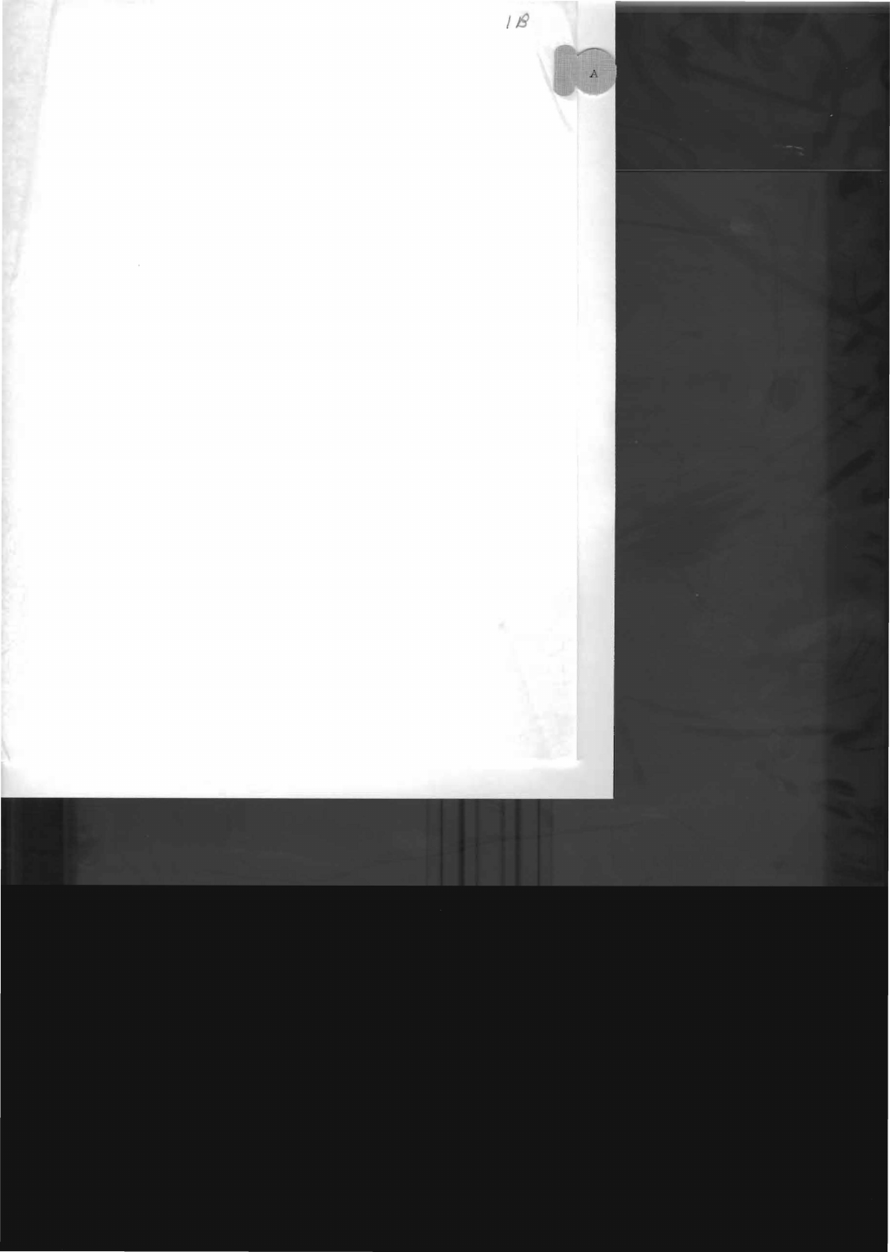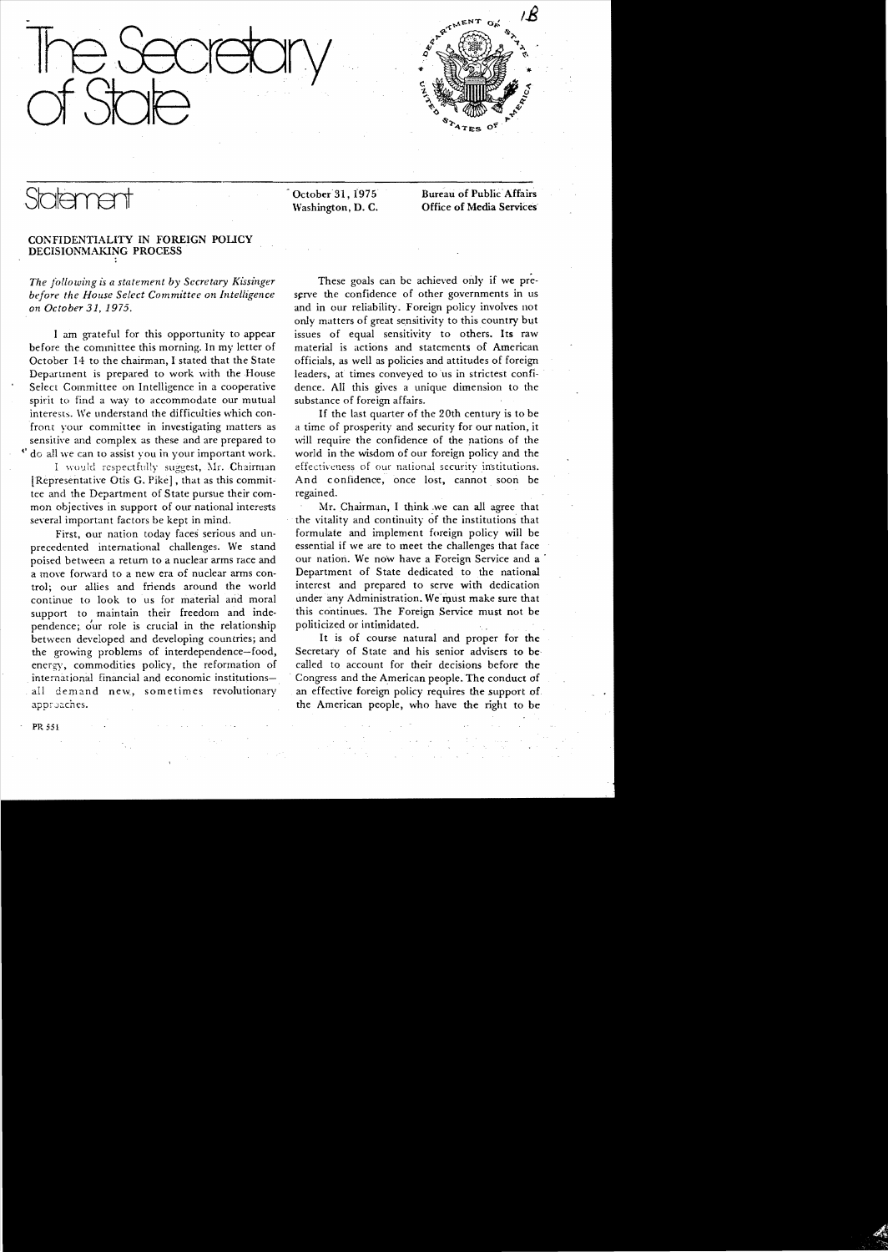



Shlama

# CONFIDENTIALITY IN FOREIGN POLICY DECISIONMAKING PROCESS

The following is a statement by Secretary Kissinger before the House Select Committee on Intelligence on October 31, 1975.

I am grateful for this opportunity to appear before the committee this morning. In my letter of October 14 to the chairman, I stated that the State Department is prepared to work with the House Select Committee on Intelligence in a cooperative spirit to find a way to accommodate our mutual interests. We understand the difficulties which confront your committee in investigating matters as sensitive and complex as these and are prepared to do all we can to assist you in your important work.

I would respectfully suggest, Mr. Chairman [Representative Otis G. Pike], that as this committee and the Department of State pursue their common objectives in support of our national interests several important factors be kept in mind.

First, our nation today faces serious and unprecedented international challenges. We stand poised between a return to a nuclear arms race and a move forward to a new era of nuclear arms control; our allies and friends around the world continue to look to us for material and moral support to maintain their freedom and independence; our role is crucial in the relationship between developed and developing countries; and the growing problems of interdependence-food, energy, commodities policy, the reformation of international financial and economic institutionsall demand new, sometimes revolutionary approaches.

October 31, 1975 Washington, D. C.

**Bureau of Public Affairs** Office of Media Services

These goals can be achieved only if we preserve the confidence of other governments in us and in our reliability. Foreign policy involves not only matters of great sensitivity to this country but issues of equal sensitivity to others. Its raw material is actions and statements of American officials, as well as policies and attitudes of foreign leaders, at times conveyed to us in strictest confidence. All this gives a unique dimension to the substance of foreign affairs.

If the last quarter of the 20th century is to be a time of prosperity and security for our nation, it will require the confidence of the nations of the world in the wisdom of our foreign policy and the effectiveness of our national security institutions. And confidence, once lost, cannot soon be regained.

Mr. Chairman, I think we can all agree that the vitality and continuity of the institutions that formulate and implement foreign policy will be essential if we are to meet the challenges that face our nation. We now have a Foreign Service and a Department of State dedicated to the national interest and prepared to serve with dedication under any Administration. We must make sure that this continues. The Foreign Service must not be politicized or intimidated.

It is of course natural and proper for the Secretary of State and his senior advisers to be called to account for their decisions before the Congress and the American people. The conduct of an effective foreign policy requires the support of the American people, who have the right to be

PR 551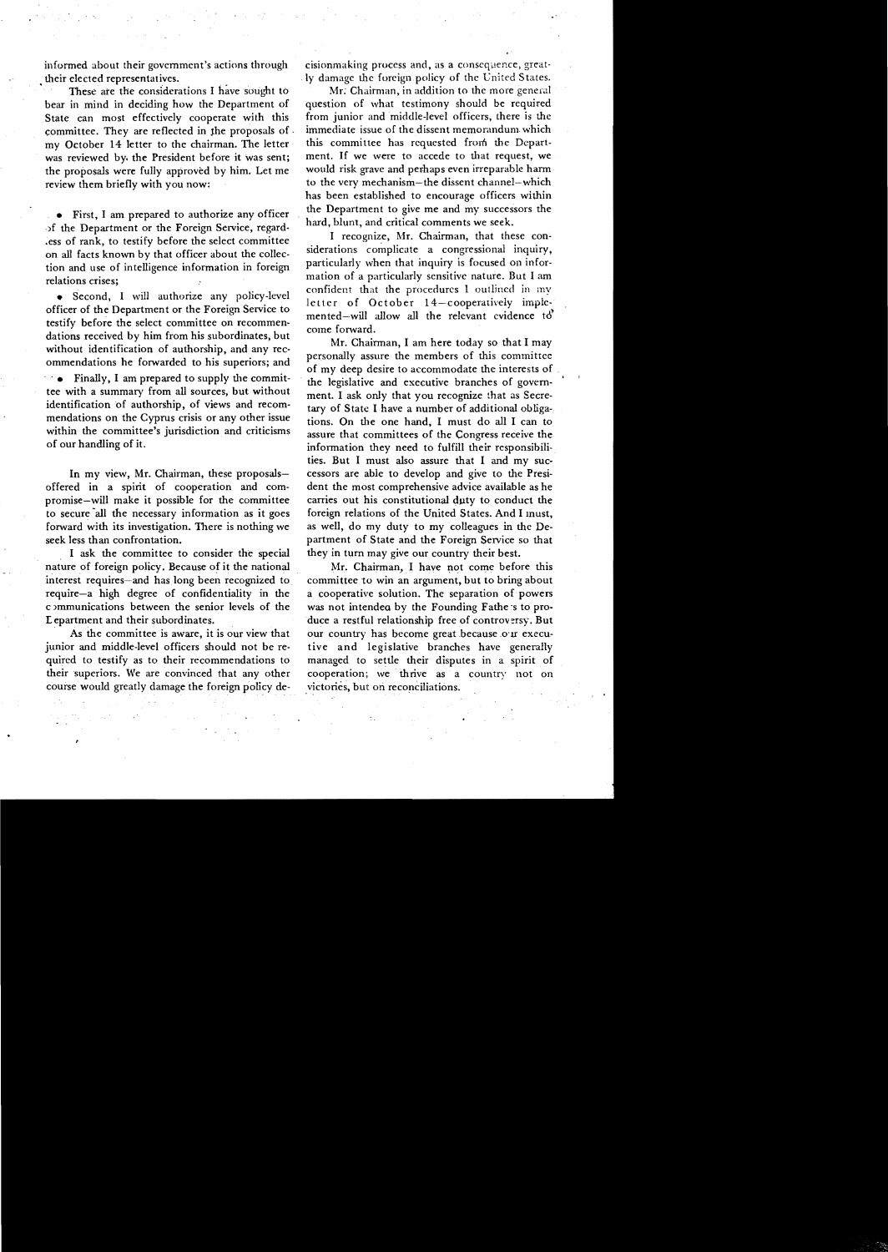informed about their government's actions through their elected representatives.

These are the considerations I have sought to bear in mind in deciding how the Department of State can most effectively cooperate with this committee. They are reflected in the proposals of. my October 14 letter to the chairman. The letter was reviewed by. the President before it was sent; the proposals were fully approved by him. Let me review them briefly with you now:

• First, I am prepared to authorize any officer ·)f the Department or the Foreign Service, regard .ess of rank, to testify before the select committee on all facts known by that officer about the collection and use of intelligence information in foreign relations crises;

• Second, I will authorize any policy-level officer of the Department or the Foreign Service to testify before the select committee on recommen· dations received by him from his subordinates, but without identification of authorship, and any recommendations he forwarded to his superiors; and

 $\cdot \cdot \bullet$  Finally, I am prepared to supply the committee with a summary from all sources, but without identification of authorship, of views and recommendations on the Cyprus crisis or any other issue within the committee's jurisdiction and criticisms of our handling of it.

In my view, Mr. Chairman, these proposalsoffered in a spirit of cooperation and compromise-will make it possible for the committee to secure all the necessary information as it goes forward with its investigation. There is nothing we seek less than confrontation.

. I ask the committee to consider the special nature of foreign policy. Because of it the national interest requires-and has long been recognized to. require-a high degree of confidentiality in the c )mmunications between the senior levels of the L epartment and their subordinates.

. As the committee is aware, it is our view that junior and middle-level officers should not be required to testify as to their recommendations to their superiors. We are convinced that any other course would greatly damage the foreign policy de-

cisionmaking process and, as a consequence, greatly damage the foreign policy of the Cnited States.

Mr: Chairman, in addition to the more general question of what testimony should be required from junior and middle-level officers, there is the immediate issue of the dissent memorandum. which this committee has requested from the Department. If we were to accede to that request, we would risk grave and perhaps even irreparable harm to the very mechanism-the dissent channel-which has been established to encourage officers within the Department to give me and my successors the hard, blunt, and critical comments we seek.

I recognize, Mr. Chairman, that these considerations complicate a congressional inquiry, particularly when that inquiry is focused on information of a particularly sensitive nature. But I am confident that the procedures I outlined in my letter of October 14-cooperatively implemented-will allow all the relevant evidence  $\mathfrak{t}$ come forward.

Mr. Chairman, I am here today so that I may personally assure the members of this committee of my deep desire to accommodate the interests of the 1egislative and executive branches of government. I ask only that you recognize that as Secretary of State I have a number of additional obligations. On the one hand, I must do all I can to assure that committees of the Congress receive the information they need to fulfill their responsibilities. But I must also assure that I and my successors are able to develop and give to the President the most comprehensive advice available as he carries out his constitutional duty to conduct the foreign relations of the United States. And I must, as well, do my duty to my colleagues in the Department of State and the Foreign Service so that they in turn may give our country their best.

Mr. Chairman, I have not come before this committee to win an argument, but to bring about a cooperative solution. The separation of powers was not intendea by the Founding Fathe:s to produce a restful relationship free of controversy. But our country has become great because our executive and legislative branches have generally managed to settle their disputes in a spirit of cooperation; we thrive as a country not on victories, but on reconciliations.